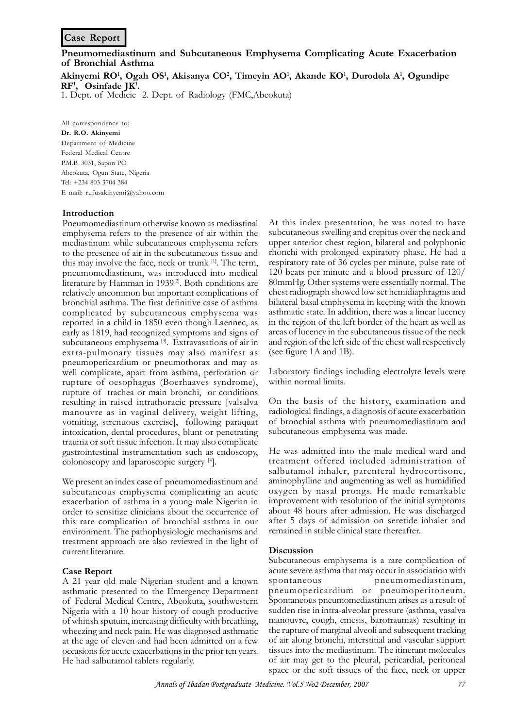# **Case Report**

**Pneumomediastinum and Subcutaneous Emphysema Complicating Acute Exacerbation of Bronchial Asthma**

**Akinyemi RO<sup>1</sup> , Ogah OS<sup>1</sup> , Akisanya CO<sup>2</sup> , Timeyin AO<sup>1</sup> , Akande KO<sup>1</sup> , Durodola A<sup>1</sup> , Ogundipe RF<sup>1</sup> , Osinfade JK<sup>1</sup> .**

1. Dept. of Medicie 2. Dept. of Radiology (FMC,Abeokuta)

All correspondence to: **Dr. R.O. Akinyemi** Department of Medicine Federal Medical Centre P.M.B. 3031, Sapon PO Abeokuta, Ogun State, Nigeria Tel: +234 803 3704 384 E mail: rufusakinyemi@yahoo.com

## **Introduction**

Pneumomediastinum otherwise known as mediastinal emphysema refers to the presence of air within the mediastinum while subcutaneous emphysema refers to the presence of air in the subcutaneous tissue and this may involve the face, neck or trunk [1]. The term, pneumomediastinum, was introduced into medical literature by Hamman in 1939<sup>[2]</sup>. Both conditions are relatively uncommon but important complications of bronchial asthma. The first definitive case of asthma complicated by subcutaneous emphysema was reported in a child in 1850 even though Laennec, as early as 1819, had recognized symptoms and signs of subcutaneous emphysema [3]. Extravasations of air in extra-pulmonary tissues may also manifest as pneumopericardium or pneumothorax and may as well complicate, apart from asthma, perforation or rupture of oesophagus (Boerhaaves syndrome), rupture of trachea or main bronchi, or conditions resulting in raised intrathoracic pressure [valsalva manouvre as in vaginal delivery, weight lifting, vomiting, strenuous exercise], following paraquat intoxication, dental procedures, blunt or penetrating trauma or soft tissue infection. It may also complicate gastrointestinal instrumentation such as endoscopy, colonoscopy and laparoscopic surgery [4].

We present an index case of pneumomediastinum and subcutaneous emphysema complicating an acute exacerbation of asthma in a young male Nigerian in order to sensitize clinicians about the occurrence of this rare complication of bronchial asthma in our environment. The pathophysiologic mechanisms and treatment approach are also reviewed in the light of current literature.

#### **Case Report**

A 21 year old male Nigerian student and a known asthmatic presented to the Emergency Department of Federal Medical Centre, Abeokuta, southwestern Nigeria with a 10 hour history of cough productive of whitish sputum, increasing difficulty with breathing, wheezing and neck pain. He was diagnosed asthmatic at the age of eleven and had been admitted on a few occasions for acute exacerbations in the prior ten years. He had salbutamol tablets regularly.

At this index presentation, he was noted to have subcutaneous swelling and crepitus over the neck and upper anterior chest region, bilateral and polyphonic rhonchi with prolonged expiratory phase. He had a respiratory rate of 36 cycles per minute, pulse rate of 120 beats per minute and a blood pressure of 120/ 80mmHg. Other systems were essentially normal. The chest radiograph showed low set hemidiaphragms and bilateral basal emphysema in keeping with the known asthmatic state. In addition, there was a linear lucency in the region of the left border of the heart as well as areas of lucency in the subcutaneous tissue of the neck and region of the left side of the chest wall respectively (see figure 1A and 1B).

Laboratory findings including electrolyte levels were within normal limits.

On the basis of the history, examination and radiological findings, a diagnosis of acute exacerbation of bronchial asthma with pneumomediastinum and subcutaneous emphysema was made.

He was admitted into the male medical ward and treatment offered included administration of salbutamol inhaler, parenteral hydrocortisone, aminophylline and augmenting as well as humidified oxygen by nasal prongs. He made remarkable improvement with resolution of the initial symptoms about 48 hours after admission. He was discharged after 5 days of admission on seretide inhaler and remained in stable clinical state thereafter.

#### **Discussion**

Subcutaneous emphysema is a rare complication of acute severe asthma that may occur in association with spontaneous pneumomediastinum, pneumopericardium or pneumoperitoneum. Spontaneous pneumomediastinum arises as a result of sudden rise in intra-alveolar pressure (asthma, vasalva manouvre, cough, emesis, barotraumas) resulting in the rupture of marginal alveoli and subsequent tracking of air along bronchi, interstitial and vascular support tissues into the mediastinum. The itinerant molecules of air may get to the pleural, pericardial, peritoneal space or the soft tissues of the face, neck or upper